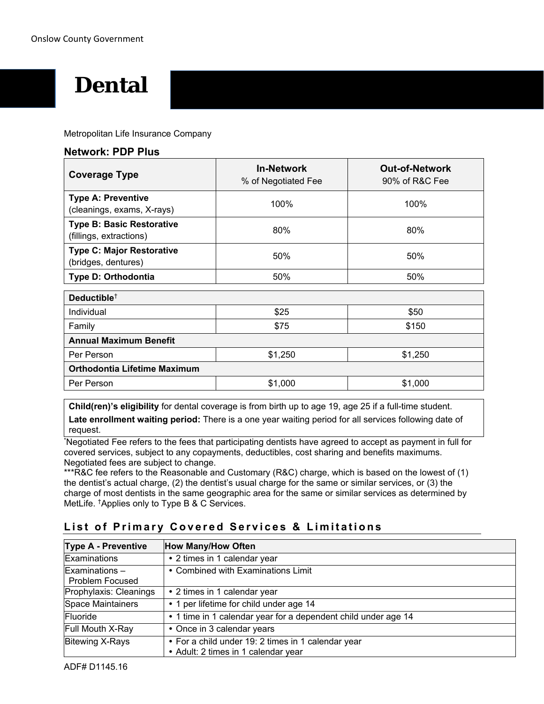# **Dental**

Metropolitan Life Insurance Company

| <b>Coverage Type</b>                                        | <b>In-Network</b><br>% of Negotiated Fee | <b>Out-of-Network</b><br>90% of R&C Fee |
|-------------------------------------------------------------|------------------------------------------|-----------------------------------------|
| <b>Type A: Preventive</b><br>(cleanings, exams, X-rays)     | 100%                                     | 100%                                    |
| <b>Type B: Basic Restorative</b><br>(fillings, extractions) | 80%                                      | 80%                                     |
| <b>Type C: Major Restorative</b><br>(bridges, dentures)     | 50%                                      | 50%                                     |
| Type D: Orthodontia                                         | 50%                                      | 50%                                     |
| Deductible <sup>+</sup>                                     |                                          |                                         |
| <b>Individual</b>                                           | \$25                                     | \$50                                    |
| Family                                                      | \$75                                     | \$150                                   |
| <b>Annual Maximum Benefit</b>                               |                                          |                                         |
| Per Person                                                  | \$1,250                                  | \$1,250                                 |
| <b>Orthodontia Lifetime Maximum</b>                         |                                          |                                         |
| Per Person                                                  | \$1,000                                  | \$1,000                                 |

**Child(ren)'s eligibility** for dental coverage is from birth up to age 19, age 25 if a full-time student.

**Late enrollment waiting period:** There is a one year waiting period for all services following date of request.

\* Negotiated Fee refers to the fees that participating dentists have agreed to accept as payment in full for covered services, subject to any copayments, deductibles, cost sharing and benefits maximums. Negotiated fees are subject to change.

\*\*\*R&C fee refers to the Reasonable and Customary (R&C) charge, which is based on the lowest of (1) the dentist's actual charge, (2) the dentist's usual charge for the same or similar services, or (3) the charge of most dentists in the same geographic area for the same or similar services as determined by MetLife. †Applies only to Type B & C Services.

| <b>Type A - Preventive</b>                 | <b>How Many/How Often</b>                                                                 |
|--------------------------------------------|-------------------------------------------------------------------------------------------|
| <b>Examinations</b>                        | • 2 times in 1 calendar year                                                              |
| $Examinations -$<br><b>Problem Focused</b> | • Combined with Examinations Limit                                                        |
| Prophylaxis: Cleanings                     | • 2 times in 1 calendar year                                                              |
| Space Maintainers                          | • 1 per lifetime for child under age 14                                                   |
| Fluoride                                   | • 1 time in 1 calendar year for a dependent child under age 14                            |
| Full Mouth X-Ray                           | • Once in 3 calendar years                                                                |
| <b>Bitewing X-Rays</b>                     | • For a child under 19: 2 times in 1 calendar year<br>• Adult: 2 times in 1 calendar year |

# **List of Primary Covered Services & Limitations**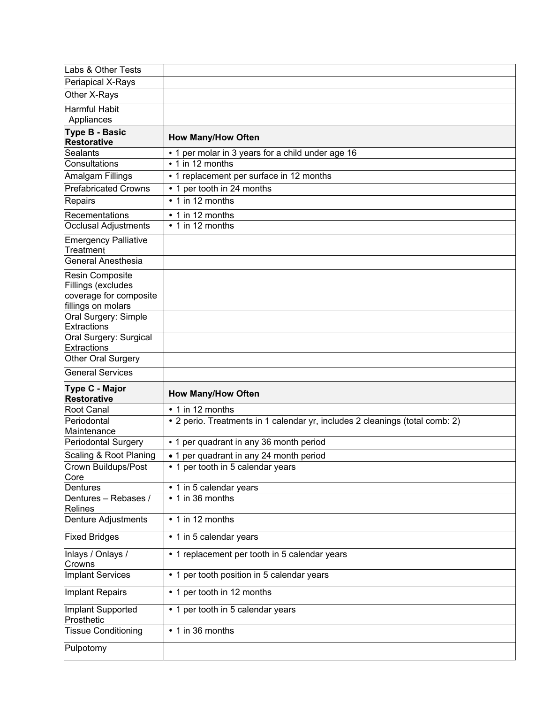| Labs & Other Tests                           |                                                                              |
|----------------------------------------------|------------------------------------------------------------------------------|
| Periapical X-Rays                            |                                                                              |
| Other X-Rays                                 |                                                                              |
| <b>Harmful Habit</b>                         |                                                                              |
| Appliances                                   |                                                                              |
| <b>Type B - Basic</b><br><b>Restorative</b>  | <b>How Many/How Often</b>                                                    |
| <b>Sealants</b>                              | • 1 per molar in 3 years for a child under age 16                            |
| Consultations                                | $\cdot$ 1 in 12 months                                                       |
| Amalgam Fillings                             | • 1 replacement per surface in 12 months                                     |
| <b>Prefabricated Crowns</b>                  | • 1 per tooth in 24 months                                                   |
| Repairs                                      | • 1 in 12 months                                                             |
| Recementations                               | • 1 in 12 months                                                             |
| <b>Occlusal Adjustments</b>                  | • 1 in 12 months                                                             |
| <b>Emergency Palliative</b><br>Treatment     |                                                                              |
| <b>General Anesthesia</b>                    |                                                                              |
| Resin Composite<br>Fillings (excludes        |                                                                              |
| coverage for composite<br>fillings on molars |                                                                              |
| Oral Surgery: Simple<br><b>Extractions</b>   |                                                                              |
| Oral Surgery: Surgical<br><b>Extractions</b> |                                                                              |
| Other Oral Surgery                           |                                                                              |
|                                              |                                                                              |
| <b>General Services</b>                      |                                                                              |
| Type C - Major<br><b>Restorative</b>         | <b>How Many/How Often</b>                                                    |
| Root Canal                                   | • 1 in 12 months                                                             |
| Periodontal                                  | • 2 perio. Treatments in 1 calendar yr, includes 2 cleanings (total comb: 2) |
| Maintenance                                  |                                                                              |
| <b>Periodontal Surgery</b>                   | • 1 per quadrant in any 36 month period                                      |
| Scaling & Root Planing                       | • 1 per quadrant in any 24 month period                                      |
| Crown Buildups/Post                          | • 1 per tooth in 5 calendar years                                            |
| Core<br>Dentures                             | • 1 in 5 calendar years                                                      |
| Dentures - Rebases /<br><b>Relines</b>       | • 1 in 36 months                                                             |
| Denture Adjustments                          | • 1 in 12 months                                                             |
| <b>Fixed Bridges</b>                         | • 1 in 5 calendar years                                                      |
| Inlays / Onlays /<br>Crowns                  | • 1 replacement per tooth in 5 calendar years                                |
| <b>Implant Services</b>                      | • 1 per tooth position in 5 calendar years                                   |
| <b>Implant Repairs</b>                       | • 1 per tooth in 12 months                                                   |
| Implant Supported<br>Prosthetic              | • 1 per tooth in 5 calendar years                                            |
| <b>Tissue Conditioning</b>                   | $\overline{\bullet}$ 1 in 36 months                                          |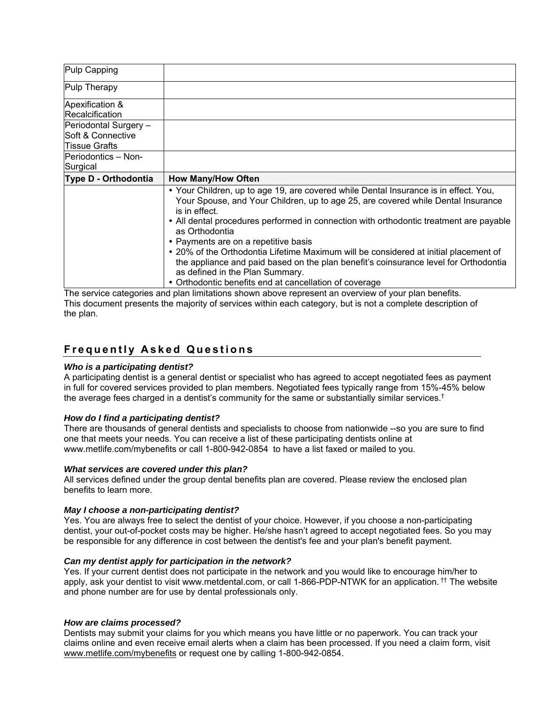| Pulp Capping                                                             |                                                                                                                                                                                                                                                                                                                                               |
|--------------------------------------------------------------------------|-----------------------------------------------------------------------------------------------------------------------------------------------------------------------------------------------------------------------------------------------------------------------------------------------------------------------------------------------|
| Pulp Therapy                                                             |                                                                                                                                                                                                                                                                                                                                               |
| Apexification &<br>Recalcification                                       |                                                                                                                                                                                                                                                                                                                                               |
| Periodontal Surgery -<br><b>ISoft &amp; Connective</b><br>lTissue Grafts |                                                                                                                                                                                                                                                                                                                                               |
| lPeriodontics – Non-<br>Surgical                                         |                                                                                                                                                                                                                                                                                                                                               |
|                                                                          |                                                                                                                                                                                                                                                                                                                                               |
| Type D - Orthodontia                                                     | <b>How Many/How Often</b>                                                                                                                                                                                                                                                                                                                     |
|                                                                          | • Your Children, up to age 19, are covered while Dental Insurance is in effect. You,<br>Your Spouse, and Your Children, up to age 25, are covered while Dental Insurance<br>is in effect.<br>• All dental procedures performed in connection with orthodontic treatment are payable<br>as Orthodontia<br>• Payments are on a repetitive basis |

The service categories and plan limitations shown above represent an overview of your plan benefits. This document presents the majority of services within each category, but is not a complete description of the plan.

# **Frequently Asked Questions**

#### *Who is a participating dentist?*

A participating dentist is a general dentist or specialist who has agreed to accept negotiated fees as payment in full for covered services provided to plan members. Negotiated fees typically range from 15%-45% below the average fees charged in a dentist's community for the same or substantially similar services.<sup>†</sup>

#### *How do I find a participating dentist?*

There are thousands of general dentists and specialists to choose from nationwide --so you are sure to find one that meets your needs. You can receive a list of these participating dentists online at www.metlife.com/mybenefits or call 1-800-942-0854 to have a list faxed or mailed to you.

#### *What services are covered under this plan?*

All services defined under the group dental benefits plan are covered. Please review the enclosed plan benefits to learn more.

#### *May I choose a non-participating dentist?*

Yes. You are always free to select the dentist of your choice. However, if you choose a non-participating dentist, your out-of-pocket costs may be higher. He/she hasn't agreed to accept negotiated fees. So you may be responsible for any difference in cost between the dentist's fee and your plan's benefit payment.

#### *Can my dentist apply for participation in the network?*

Yes. If your current dentist does not participate in the network and you would like to encourage him/her to apply, ask your dentist to visit www.metdental.com, or call 1-866-PDP-NTWK for an application. †† The website and phone number are for use by dental professionals only.

#### *How are claims processed?*

Dentists may submit your claims for you which means you have little or no paperwork. You can track your claims online and even receive email alerts when a claim has been processed. If you need a claim form, visit www.metlife.com/mybenefits or request one by calling 1-800-942-0854.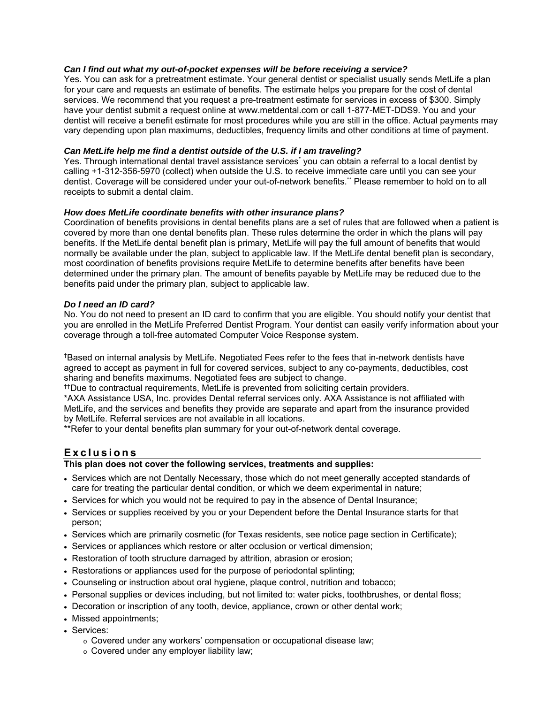## *Can I find out what my out-of-pocket expenses will be before receiving a service?*

Yes. You can ask for a pretreatment estimate. Your general dentist or specialist usually sends MetLife a plan for your care and requests an estimate of benefits. The estimate helps you prepare for the cost of dental services. We recommend that you request a pre-treatment estimate for services in excess of \$300. Simply have your dentist submit a request online at www.metdental.com or call 1-877-MET-DDS9. You and your dentist will receive a benefit estimate for most procedures while you are still in the office. Actual payments may vary depending upon plan maximums, deductibles, frequency limits and other conditions at time of payment.

## *Can MetLife help me find a dentist outside of the U.S. if I am traveling?*

Yes. Through international dental travel assistance services<sup>\*</sup> you can obtain a referral to a local dentist by calling +1-312-356-5970 (collect) when outside the U.S. to receive immediate care until you can see your dentist. Coverage will be considered under your out-of-network benefits.\*\* Please remember to hold on to all receipts to submit a dental claim.

## *How does MetLife coordinate benefits with other insurance plans?*

Coordination of benefits provisions in dental benefits plans are a set of rules that are followed when a patient is covered by more than one dental benefits plan. These rules determine the order in which the plans will pay benefits. If the MetLife dental benefit plan is primary, MetLife will pay the full amount of benefits that would normally be available under the plan, subject to applicable law. If the MetLife dental benefit plan is secondary, most coordination of benefits provisions require MetLife to determine benefits after benefits have been determined under the primary plan. The amount of benefits payable by MetLife may be reduced due to the benefits paid under the primary plan, subject to applicable law.

## *Do I need an ID card?*

No. You do not need to present an ID card to confirm that you are eligible. You should notify your dentist that you are enrolled in the MetLife Preferred Dentist Program. Your dentist can easily verify information about your coverage through a toll-free automated Computer Voice Response system.

†Based on internal analysis by MetLife. Negotiated Fees refer to the fees that in-network dentists have agreed to accept as payment in full for covered services, subject to any co-payments, deductibles, cost sharing and benefits maximums. Negotiated fees are subject to change.

††Due to contractual requirements, MetLife is prevented from soliciting certain providers.

\*AXA Assistance USA, Inc. provides Dental referral services only. AXA Assistance is not affiliated with MetLife, and the services and benefits they provide are separate and apart from the insurance provided by MetLife. Referral services are not available in all locations.

\*\*Refer to your dental benefits plan summary for your out-of-network dental coverage.

# **Exclusions**

## **This plan does not cover the following services, treatments and supplies:**

- Services which are not Dentally Necessary, those which do not meet generally accepted standards of care for treating the particular dental condition, or which we deem experimental in nature;
- Services for which you would not be required to pay in the absence of Dental Insurance;
- Services or supplies received by you or your Dependent before the Dental Insurance starts for that person;
- Services which are primarily cosmetic (for Texas residents, see notice page section in Certificate);
- Services or appliances which restore or alter occlusion or vertical dimension;
- Restoration of tooth structure damaged by attrition, abrasion or erosion;
- Restorations or appliances used for the purpose of periodontal splinting;
- Counseling or instruction about oral hygiene, plaque control, nutrition and tobacco;
- Personal supplies or devices including, but not limited to: water picks, toothbrushes, or dental floss;
- Decoration or inscription of any tooth, device, appliance, crown or other dental work;
- Missed appointments;
- Services:
	- o Covered under any workers' compensation or occupational disease law;
	- o Covered under any employer liability law;